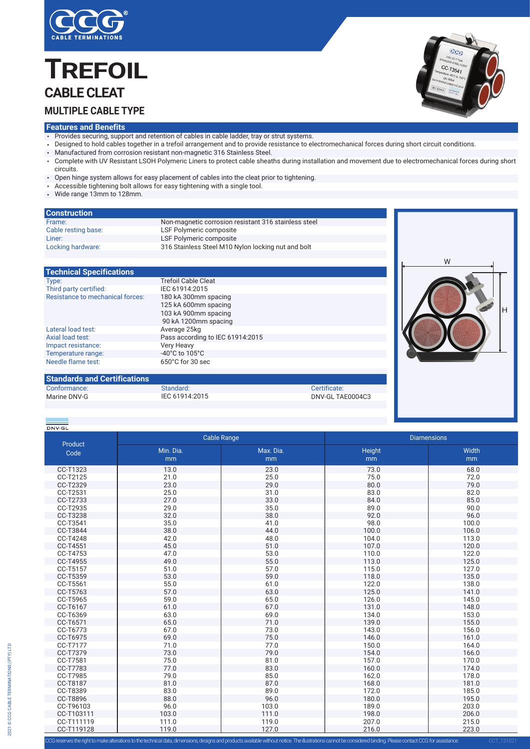

# **TREFO**<br>CABLE CLEAT<br>MULTIPLE CABLE T<br>Features and Benefits **TREFOIL MULTIPLE CABLE TYPE CABLE CLEAT**



H

- Provides securing, support and retention of cables in cable ladder, tray or strut systems.
- Designed to hold cables together in a trefoil arrangement and to provide resistance to electromechanical forces during short circuit conditions.
- Manufactured from corrosion resistant non-magnetic 316 Stainless Steel.
- Complete with UV Resistant LSOH Polymeric Liners to protect cable sheaths during installation and movement due to electromechanical forces during short circuits.
- Open hinge system allows for easy placement of cables into the cleat prior to tightening.
- Accessible tightening bolt allows for easy tightening with a single tool.
- Wide range 13mm to 128mm.

| <b>Construction</b> |                                                      |  |
|---------------------|------------------------------------------------------|--|
| Frame:              | Non-magnetic corrosion resistant 316 stainless steel |  |
| Cable resting base: | LSF Polymeric composite                              |  |
| Liner:              | LSF Polymeric composite                              |  |
| Locking hardware:   | 316 Stainless Steel M10 Nylon locking nut and bolt   |  |
|                     |                                                      |  |
|                     |                                                      |  |

### **Technical Specifications**

| Type:                                   | <b>Trefoil Cable Cleat</b>                                                                   |  |
|-----------------------------------------|----------------------------------------------------------------------------------------------|--|
| Third party certified:                  | IEC 61914:2015                                                                               |  |
| <b>Resistance to mechanical forces:</b> | 180 kA 300mm spacing<br>125 kA 600mm spacing<br>103 kA 900mm spacing<br>90 kA 1200mm spacing |  |
| Lateral load test:                      | Average 25kg                                                                                 |  |
| Axial load test:                        | Pass according to IEC 61914:2015                                                             |  |
| Impact resistance:                      | <b>Very Heavy</b>                                                                            |  |
| Temperature range:                      | -40 $^{\circ}$ C to 105 $^{\circ}$ C                                                         |  |
| Needle flame test:                      | 650°C for 30 sec                                                                             |  |
|                                         |                                                                                              |  |

## **Standards and Certifications**

| Conformance: | Standard:      | Certificate:     |
|--------------|----------------|------------------|
| Marine DNV-G | IEC 61914:2015 | DNV-GL TAE0004C3 |
|              |                |                  |

| DNV GL     |                    |           |                    |       |  |
|------------|--------------------|-----------|--------------------|-------|--|
|            | <b>Cable Range</b> |           | <b>Diamensions</b> |       |  |
| Product    | Min. Dia.          | Max. Dia. | Height             | Width |  |
| Code       | mm                 | mm        | mm                 | mm    |  |
| CC-T1323   | 13.0               | 23.0      | 73.0               | 68.0  |  |
| CC-T2125   | 21.0               | 25.0      | 75.0               | 72.0  |  |
| CC-T2329   | 23.0               | 29.0      | 80.0               | 79.0  |  |
| CC-T2531   | 25.0               | 31.0      | 83.0               | 82.0  |  |
| CC-T2733   | 27.0               | 33.0      | 84.0               | 85.0  |  |
| CC-T2935   | 29.0               | 35.0      | 89.0               | 90.0  |  |
| CC-T3238   | 32.0               | 38.0      | 92.0               | 96.0  |  |
| CC-T3541   | 35.0               | 41.0      | 98.0               | 100.0 |  |
| CC-T3844   | 38.0               | 44.0      | 100.0              | 106.0 |  |
| CC-T4248   | 42.0               | 48.0      | 104.0              | 113.0 |  |
| CC-T4551   | 45.0               | 51.0      | 107.0              | 120.0 |  |
| CC-T4753   | 47.0               | 53.0      | 110.0              | 122.0 |  |
| CC-T4955   | 49.0               | 55.0      | 113.0              | 125.0 |  |
| CC-T5157   | 51.0               | 57.0      | 115.0              | 127.0 |  |
| CC-T5359   | 53.0               | 59.0      | 118.0              | 135.0 |  |
| CC-T5561   | 55.0               | 61.0      | 122.0              | 138.0 |  |
| CC-T5763   | 57.0               | 63.0      | 125.0              | 141.0 |  |
| CC-T5965   | 59.0               | 65.0      | 126.0              | 145.0 |  |
| CC-T6167   | 61.0               | 67.0      | 131.0              | 148.0 |  |
| CC-T6369   | 63.0               | 69.0      | 134.0              | 153.0 |  |
| CC-T6571   | 65.0               | 71.0      | 139.0              | 155.0 |  |
| CC-T6773   | 67.0               | 73.0      | 143.0              | 156.0 |  |
| CC-T6975   | 69.0               | 75.0      | 146.0              | 161.0 |  |
| CC-T7177   | 71.0               | 77.0      | 150.0              | 164.0 |  |
| CC-T7379   | 73.0               | 79.0      | 154.0              | 166.0 |  |
| CC-T7581   | 75.0               | 81.0      | 157.0              | 170.0 |  |
| CC-T7783   | 77.0               | 83.0      | 160.0              | 174.0 |  |
| CC-T7985   | 79.0               | 85.0      | 162.0              | 178.0 |  |
| CC-T8187   | 81.0               | 87.0      | 168.0              | 181.0 |  |
| CC-T8389   | 83.0               | 89.0      | 172.0              | 185.0 |  |
| CC-T8896   | 88.0               | 96.0      | 180.0              | 195.0 |  |
| CC-T96103  | 96.0               | 103.0     | 189.0              | 203.0 |  |
| CC-T103111 | 103.0              | 111.0     | 198.0              | 206.0 |  |
| CC-T111119 | 111.0              | 119.0     | 207.0              | 215.0 |  |
| CC-T119128 | 119.0              | 127.0     | 216.0              | 223.0 |  |

es the right to make alterations to the technical data, dimensions, designs and products available without notice. The illustrations cannot be considered binding. Please contact CCG for assistance.